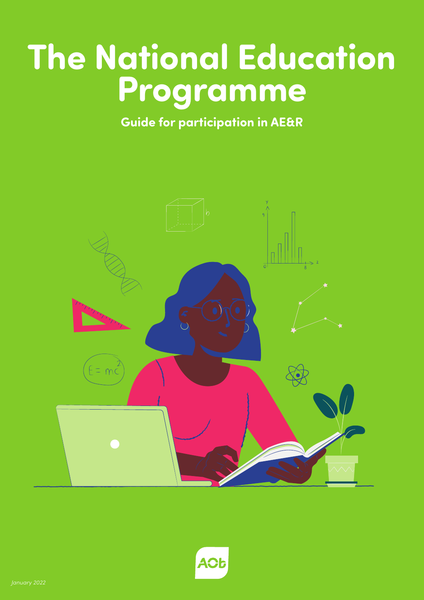## **The National Education Programme**

**Guide for participation in AE&R**



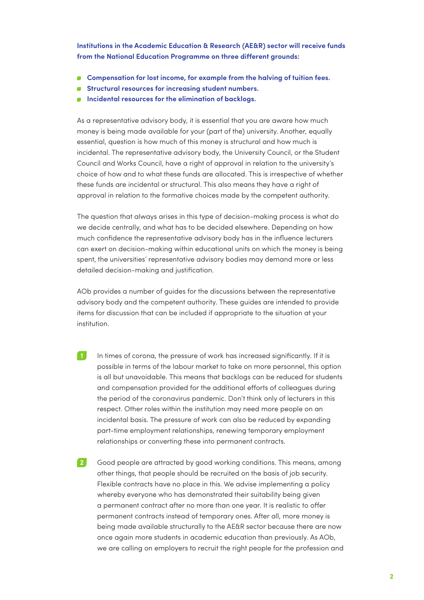**Institutions in the Academic Education & Research (AE&R) sector will receive funds from the National Education Programme on three different grounds:**

- **Compensation for lost income, for example from the halving of tuition fees.**
- **Structural resources for increasing student numbers.**
- **Incidental resources for the elimination of backlogs.**

As a representative advisory body, it is essential that you are aware how much money is being made available for your (part of the) university. Another, equally essential, question is how much of this money is structural and how much is incidental. The representative advisory body, the University Council, or the Student Council and Works Council, have a right of approval in relation to the university's choice of how and to what these funds are allocated. This is irrespective of whether these funds are incidental or structural. This also means they have a right of approval in relation to the formative choices made by the competent authority.

The question that always arises in this type of decision-making process is what do we decide centrally, and what has to be decided elsewhere. Depending on how much confidence the representative advisory body has in the influence lecturers can exert on decision-making within educational units on which the money is being spent, the universities' representative advisory bodies may demand more or less detailed decision-making and justification.

AOb provides a number of guides for the discussions between the representative advisory body and the competent authority. These guides are intended to provide items for discussion that can be included if appropriate to the situation at your institution.

- In times of corona, the pressure of work has increased significantly. If it is possible in terms of the labour market to take on more personnel, this option is all but unavoidable. This means that backlogs can be reduced for students and compensation provided for the additional efforts of colleagues during the period of the coronavirus pandemic. Don't think only of lecturers in this respect. Other roles within the institution may need more people on an incidental basis. The pressure of work can also be reduced by expanding part-time employment relationships, renewing temporary employment relationships or converting these into permanent contracts. **1**
- Good people are attracted by good working conditions. This means, among other things, that people should be recruited on the basis of job security. Flexible contracts have no place in this. We advise implementing a policy whereby everyone who has demonstrated their suitability being given a permanent contract after no more than one year. It is realistic to offer permanent contracts instead of temporary ones. After all, more money is being made available structurally to the AE&R sector because there are now once again more students in academic education than previously. As AOb, we are calling on employers to recruit the right people for the profession and **2**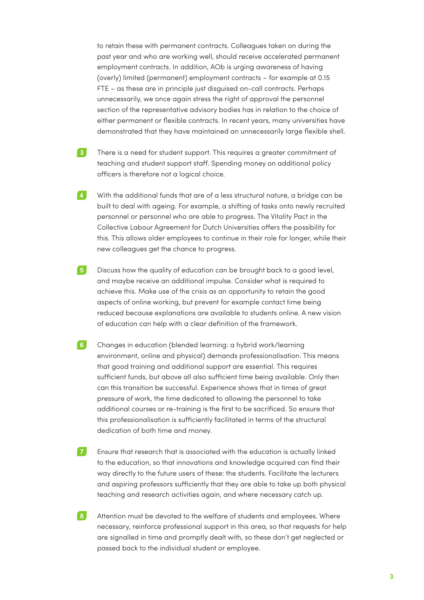to retain these with permanent contracts. Colleagues taken on during the past year and who are working well, should receive accelerated permanent employment contracts. In addition, AOb is urging awareness of having (overly) limited (permanent) employment contracts – for example at 0.15 FTE – as these are in principle just disguised on-call contracts. Perhaps unnecessarily, we once again stress the right of approval the personnel section of the representative advisory bodies has in relation to the choice of either permanent or flexible contracts. In recent years, many universities have demonstrated that they have maintained an unnecessarily large flexible shell.

- There is a need for student support. This requires a greater commitment of teaching and student support staff. Spending money on additional policy officers is therefore not a logical choice. **3**
- With the additional funds that are of a less structural nature, a bridge can be built to deal with ageing. For example, a shifting of tasks onto newly recruited personnel or personnel who are able to progress. The Vitality Pact in the Collective Labour Agreement for Dutch Universities offers the possibility for this. This allows older employees to continue in their role for longer, while their new colleagues get the chance to progress. **4**
- Discuss how the quality of education can be brought back to a good level, and maybe receive an additional impulse. Consider what is required to achieve this. Make use of the crisis as an opportunity to retain the good aspects of online working, but prevent for example contact time being reduced because explanations are available to students online. A new vision of education can help with a clear definition of the framework. **5**
- Changes in education (blended learning: a hybrid work/learning environment, online and physical) demands professionalisation. This means that good training and additional support are essential. This requires sufficient funds, but above all also sufficient time being available. Only then can this transition be successful. Experience shows that in times of great pressure of work, the time dedicated to allowing the personnel to take additional courses or re-training is the first to be sacrificed. So ensure that this professionalisation is sufficiently facilitated in terms of the structural dedication of both time and money. **6**
- Ensure that research that is associated with the education is actually linked to the education, so that innovations and knowledge acquired can find their way directly to the future users of these: the students. Facilitate the lecturers and aspiring professors sufficiently that they are able to take up both physical teaching and research activities again, and where necessary catch up. **7**
- Attention must be devoted to the welfare of students and employees. Where necessary, reinforce professional support in this area, so that requests for help are signalled in time and promptly dealt with, so these don't get neglected or passed back to the individual student or employee. **8**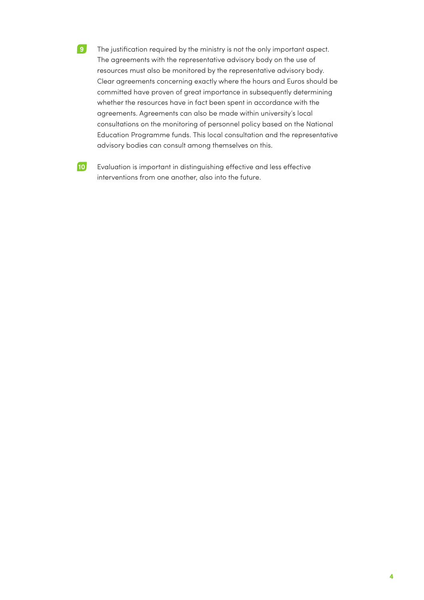- The justification required by the ministry is not the only important aspect. The agreements with the representative advisory body on the use of resources must also be monitored by the representative advisory body. Clear agreements concerning exactly where the hours and Euros should be committed have proven of great importance in subsequently determining whether the resources have in fact been spent in accordance with the agreements. Agreements can also be made within university's local consultations on the monitoring of personnel policy based on the National Education Programme funds. This local consultation and the representative advisory bodies can consult among themselves on this. **9**
- Evaluation is important in distinguishing effective and less effective interventions from one another, also into the future. **10**